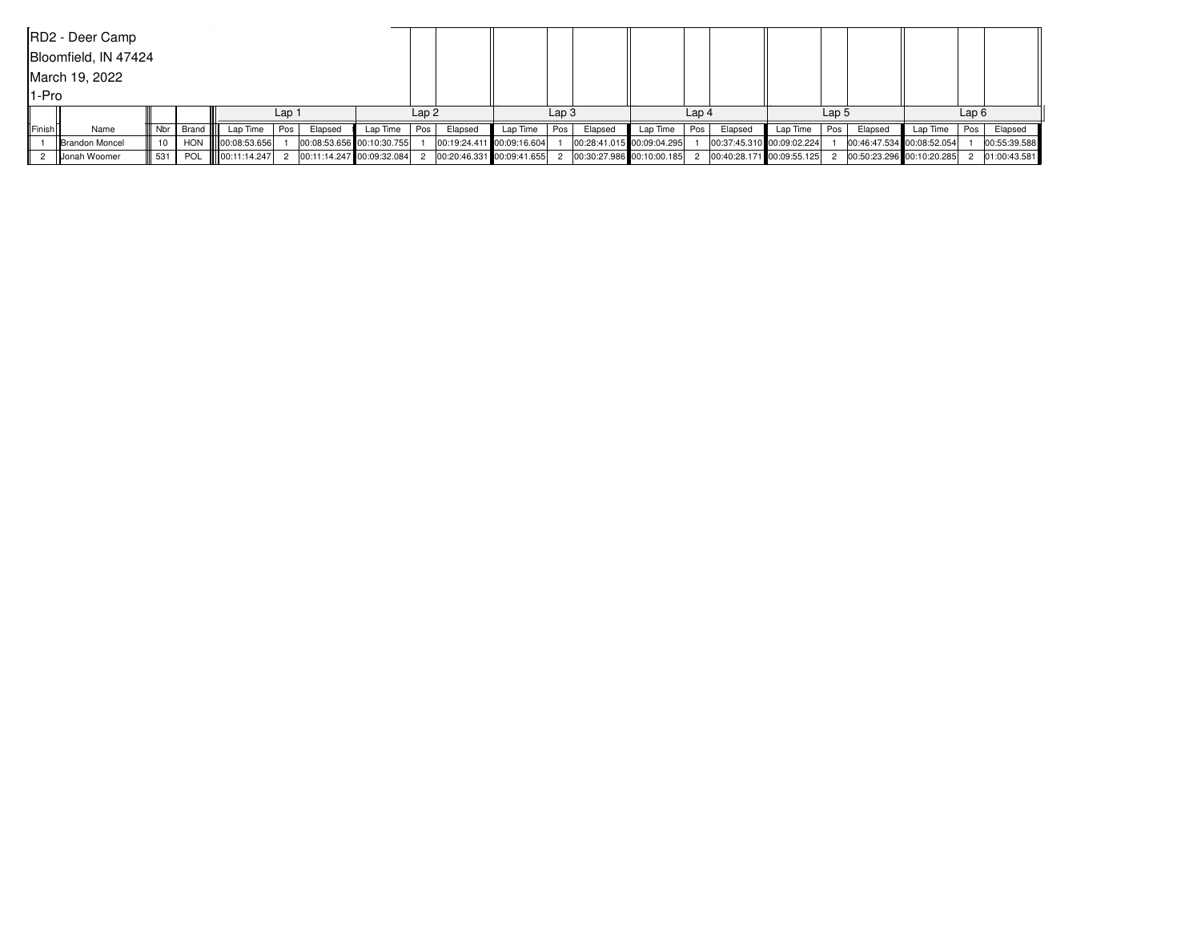| RD2 - Deer Camp |                        |     |             |                     |       |                           |          |       |         |                             |       |                           |          |     |                           |                  |     |         |                           |     |              |
|-----------------|------------------------|-----|-------------|---------------------|-------|---------------------------|----------|-------|---------|-----------------------------|-------|---------------------------|----------|-----|---------------------------|------------------|-----|---------|---------------------------|-----|--------------|
|                 | Bloomfield, IN 47424   |     |             |                     |       |                           |          |       |         |                             |       |                           |          |     |                           |                  |     |         |                           |     |              |
|                 | March 19, 2022         |     |             |                     |       |                           |          |       |         |                             |       |                           |          |     |                           |                  |     |         |                           |     |              |
|                 | l1-Pro                 |     |             |                     |       |                           |          |       |         |                             |       |                           |          |     |                           |                  |     |         |                           |     |              |
|                 |                        |     |             |                     | Lap 1 |                           |          | Lap2  |         |                             | Lap 3 |                           | Lap 4    |     |                           | Lap <sub>5</sub> |     |         |                           |     | Lap6         |
| <b>IlFinish</b> | Name                   |     | Nbr   Brand | Lap Time            | Pos   | Elapsed                   | Lap Time | Pos I | Elapsed | Lap Time                    | Pos   | Elapsed                   | Lap Time | Pos | Elapsed                   | Lap Time         | Pos | Elapsed | Lap Time                  | Pos | Elapsed      |
|                 | <b>IBrandon Moncel</b> |     |             | HON 100:08:53.656   |       | 00:08:53.656 00:10:30.755 |          |       |         | 00:19:24.411 00:09:16.604   |       | 00:28:41.015 00:09:04.295 |          |     | 00:37:45.310 00:09:02.224 |                  |     |         | 00:46:47.534 00:08:52.054 |     | 00:55:39.588 |
|                 | <b>IlJonah Woomer</b>  | 531 |             | POL    00:11:14.247 |       | 00:11:14.247 00:09:32.084 |          |       |         | 2 00:20:46.331 00:09:41.655 |       | 00:30:27.986 00:10:00.185 |          |     | 00:40:28.171 00:09:55.125 |                  |     |         | 00:50:23.296 00:10:20.285 |     | 01:00:43.581 |